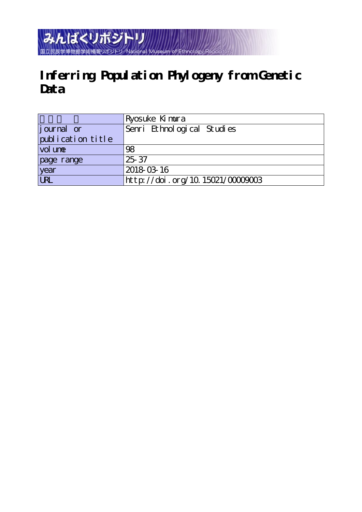## みんぱくリポジトリ National Museum of 国立民族学博物館学術情報リポジト

# **Inferring Population Phylogeny from Genetic Data**

|                   | Ryosuke Kimura                  |
|-------------------|---------------------------------|
| journal or        | Senri Ethnological Studies      |
| publication title |                                 |
| vol une           | 98                              |
| page range        | $25 - 37$                       |
| year<br>URL       | 2018-03-16                      |
|                   | http://doi.org/10.15021/0000003 |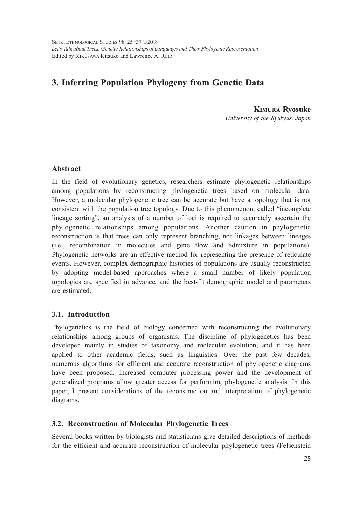SENRI ETHNOLOGICAL STUDIES 98: 25-37 © 2018 *Let's Talk about Trees: Genetic Relationships of Languages and Their Phylogenic Representation* Edited by KIKUSAWA Ritsuko and Lawrence A. REID

### **3. Inferring Population Phylogeny from Genetic Data**

**Kimura Ryosuke** *University of the Ryukyus, Japan*

#### **Abstract**

In the field of evolutionary genetics, researchers estimate phylogenetic relationships among populations by reconstructing phylogenetic trees based on molecular data. However, a molecular phylogenetic tree can be accurate but have a topology that is not consistent with the population tree topology. Due to this phenomenon, called "incomplete lineage sorting", an analysis of a number of loci is required to accurately ascertain the phylogenetic relationships among populations. Another caution in phylogenetic reconstruction is that trees can only represent branching, not linkages between lineages (i.e., recombination in molecules and gene flow and admixture in populations). Phylogenetic networks are an effective method for representing the presence of reticulate events. However, complex demographic histories of populations are usually reconstructed by adopting model-based approaches where a small number of likely population topologies are specified in advance, and the best-fit demographic model and parameters are estimated.

#### **3.1. Introduction**

Phylogenetics is the field of biology concerned with reconstructing the evolutionary relationships among groups of organisms. The discipline of phylogenetics has been developed mainly in studies of taxonomy and molecular evolution, and it has been applied to other academic fields, such as linguistics. Over the past few decades, numerous algorithms for efficient and accurate reconstruction of phylogenetic diagrams have been proposed. Increased computer processing power and the development of generalized programs allow greater access for performing phylogenetic analysis. In this paper, I present considerations of the reconstruction and interpretation of phylogenetic diagrams.

#### **3.2. Reconstruction of Molecular Phylogenetic Trees**

Several books written by biologists and statisticians give detailed descriptions of methods for the efficient and accurate reconstruction of molecular phylogenetic trees (Felsenstein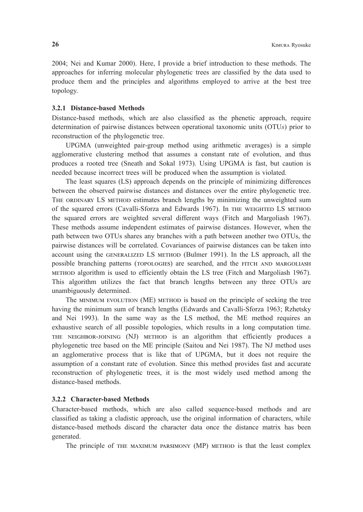2004; Nei and Kumar 2000). Here, I provide a brief introduction to these methods. The approaches for inferring molecular phylogenetic trees are classified by the data used to produce them and the principles and algorithms employed to arrive at the best tree topology.

#### **3.2.1 Distance-based Methods**

Distance-based methods, which are also classified as the phenetic approach, require determination of pairwise distances between operational taxonomic units (OTU*s*) prior to reconstruction of the phylogenetic tree.

UPGMA (unweighted pair-group method using arithmetic averages) is a simple agglomerative clustering method that assumes a constant rate of evolution, and thus produces a rooted tree (Sneath and Sokal 1973). Using UPGMA is fast, but caution is needed because incorrect trees will be produced when the assumption is violated.

The least squares (LS) approach depends on the principle of minimizing differences between the observed pairwise distances and distances over the entire phylogenetic tree. THE OrDiNarY LS mETHOD estimates branch lengths by minimizing the unweighted sum of the squared errors (Cavalli-Sforza and Edwards 1967). In THE WEiGHTED LS mETHOD the squared errors are weighted several different ways (Fitch and Margoliash 1967). These methods assume independent estimates of pairwise distances. However, when the path between two OTUs shares any branches with a path between another two OTUs, the pairwise distances will be correlated. Covariances of pairwise distances can be taken into account using the GENEraLiZED LS mETHOD (Bulmer 1991). In the LS approach, all the possible branching patterns (TOPOLOGiES) are searched, and the FiTCH aND marGOLiaSH mETHOD algorithm is used to efficiently obtain the LS tree (Fitch and Margoliash 1967). This algorithm utilizes the fact that branch lengths between any three OTUs are unambiguously determined.

 The miNimum EVOLuTiON (ME) mETHOD is based on the principle of seeking the tree having the minimum sum of branch lengths (Edwards and Cavalli-Sforza 1963; Rzhetsky and Nei 1993). In the same way as the LS method, the ME method requires an exhaustive search of all possible topologies, which results in a long computation time. THE NEiGHBOr-JOiNiNG (NJ) mETHOD is an algorithm that efficiently produces a phylogenetic tree based on the ME principle (Saitou and Nei 1987). The NJ method uses an agglomerative process that is like that of UPGMA, but it does not require the assumption of a constant rate of evolution. Since this method provides fast and accurate reconstruction of phylogenetic trees, it is the most widely used method among the distance-based methods.

#### **3.2.2 Character-based Methods**

Character-based methods, which are also called sequence-based methods and are classified as taking a cladistic approach, use the original information of characters, while distance-based methods discard the character data once the distance matrix has been generated.

The principle of THE maXimum ParSimONY (MP) mETHOD is that the least complex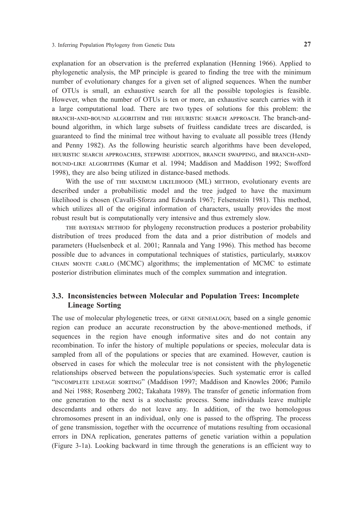explanation for an observation is the preferred explanation (Henning 1966). Applied to phylogenetic analysis, the MP principle is geared to finding the tree with the minimum number of evolutionary changes for a given set of aligned sequences. When the number of OTUs is small, an exhaustive search for all the possible topologies is feasible. However, when the number of OTUs is ten or more, an exhaustive search carries with it a large computational load. There are two types of solutions for this problem: the BraNCH-aND-BOuND aLGOriTHm and THE HEuriSTiC SEarCH aPPrOaCH. The branch-andbound algorithm, in which large subsets of fruitless candidate trees are discarded, is guaranteed to find the minimal tree without having to evaluate all possible trees (Hendy and Penny 1982). As the following heuristic search algorithms have been developed, HEuriSTiC SEarCH aPPrOaCHES, STEPWiSE aDDiTiON, BraNCH SWaPPiNG, and BraNCH-aND-BOuND-LiKE aLGOriTHmS (Kumar et al. 1994; Maddison and Maddison 1992; Swofford 1998), they are also being utilized in distance-based methods.

With the use of THE MAXIMUM LIKELIHOOD (ML) METHOD, evolutionary events are described under a probabilistic model and the tree judged to have the maximum likelihood is chosen (Cavalli-Sforza and Edwards 1967; Felsenstein 1981). This method, which utilizes all of the original information of characters, usually provides the most robust result but is computationally very intensive and thus extremely slow.

 THE BaYESiaN mETHOD for phylogeny reconstruction produces a posterior probability distribution of trees produced from the data and a prior distribution of models and parameters (Huelsenbeck et al. 2001; Rannala and Yang 1996). This method has become possible due to advances in computational techniques of statistics, particularly, MARKOV CHaiN mONTE CarLO (MCMC) algorithms; the implementation of MCMC to estimate posterior distribution eliminates much of the complex summation and integration.

#### **3.3. Inconsistencies between Molecular and Population Trees: Incomplete Lineage Sorting**

The use of molecular phylogenetic trees, or GENE GENEaLOGY, based on a single genomic region can produce an accurate reconstruction by the above-mentioned methods, if sequences in the region have enough informative sites and do not contain any recombination. To infer the history of multiple populations or species, molecular data is sampled from all of the populations or species that are examined. However, caution is observed in cases for which the molecular tree is not consistent with the phylogenetic relationships observed between the populations/species. Such systematic error is called "iNCOmPLETE LiNEaGE SOrTiNG" (Maddison 1997; Maddison and Knowles 2006; Pamilo and Nei 1988; Rosenberg 2002; Takahata 1989). The transfer of genetic information from one generation to the next is a stochastic process. Some individuals leave multiple descendants and others do not leave any. In addition, of the two homologous chromosomes present in an individual, only one is passed to the offspring. The process of gene transmission, together with the occurrence of mutations resulting from occasional errors in DNA replication, generates patterns of genetic variation within a population (Figure 3-1a). Looking backward in time through the generations is an efficient way to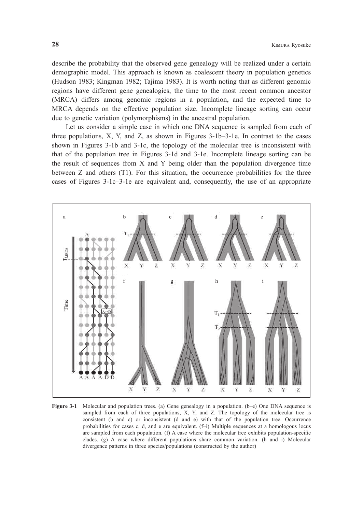describe the probability that the observed gene genealogy will be realized under a certain demographic model. This approach is known as coalescent theory in population genetics (Hudson 1983; Kingman 1982; Tajima 1983). It is worth noting that as different genomic regions have different gene genealogies, the time to the most recent common ancestor (MRCA) differs among genomic regions in a population, and the expected time to MRCA depends on the effective population size. Incomplete lineage sorting can occur due to genetic variation (polymorphisms) in the ancestral population.

Let us consider a simple case in which one DNA sequence is sampled from each of three populations,  $X$ ,  $Y$ , and  $Z$ , as shown in Figures 3-1b–3-1e. In contrast to the cases shown in Figures 3-1b and 3-1c, the topology of the molecular tree is inconsistent with that of the population tree in Figures 3-1d and 3-1e. Incomplete lineage sorting can be the result of sequences from X and Y being older than the population divergence time between Z and others (T1). For this situation, the occurrence probabilities for the three cases of Figures 3-1c–3-1e are equivalent and, consequently, the use of an appropriate



**Figure 3-1** Molecular and population trees. (a) Gene genealogy in a population. (b–e) One DNA sequence is sampled from each of three populations, X, Y, and Z. The topology of the molecular tree is consistent (b and c) or inconsistent (d and e) with that of the population tree. Occurrence probabilities for cases c, d, and e are equivalent. (f–i) Multiple sequences at a homologous locus are sampled from each population. (f) A case where the molecular tree exhibits population-specific clades. (g) A case where different populations share common variation. (h and i) Molecular divergence patterns in three species/populations (constructed by the author)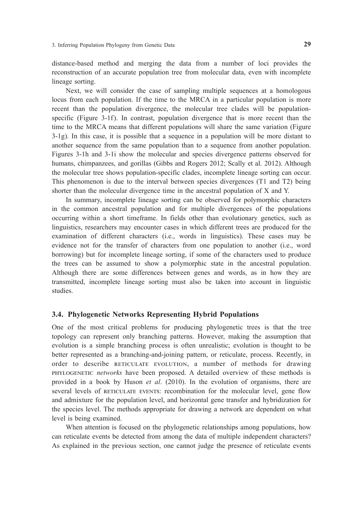distance-based method and merging the data from a number of loci provides the reconstruction of an accurate population tree from molecular data, even with incomplete lineage sorting.

Next, we will consider the case of sampling multiple sequences at a homologous locus from each population. If the time to the MRCA in a particular population is more recent than the population divergence, the molecular tree clades will be populationspecific (Figure 3-1f). In contrast, population divergence that is more recent than the time to the MRCA means that different populations will share the same variation (Figure 3-1g). In this case, it is possible that a sequence in a population will be more distant to another sequence from the same population than to a sequence from another population. Figures 3-1h and 3-1i show the molecular and species divergence patterns observed for humans, chimpanzees, and gorillas (Gibbs and Rogers 2012; Scally et al. 2012). Although the molecular tree shows population-specific clades, incomplete lineage sorting can occur. This phenomenon is due to the interval between species divergences (T1 and T2) being shorter than the molecular divergence time in the ancestral population of X and Y.

In summary, incomplete lineage sorting can be observed for polymorphic characters in the common ancestral population and for multiple divergences of the populations occurring within a short timeframe. In fields other than evolutionary genetics, such as linguistics, researchers may encounter cases in which different trees are produced for the examination of different characters (i.e., words in linguistics). These cases may be evidence not for the transfer of characters from one population to another (i.e., word borrowing) but for incomplete lineage sorting, if some of the characters used to produce the trees can be assumed to show a polymorphic state in the ancestral population. Although there are some differences between genes and words, as in how they are transmitted, incomplete lineage sorting must also be taken into account in linguistic studies.

#### **3.4. Phylogenetic Networks Representing Hybrid Populations**

One of the most critical problems for producing phylogenetic trees is that the tree topology can represent only branching patterns. However, making the assumption that evolution is a simple branching process is often unrealistic; evolution is thought to be better represented as a branching-and-joining pattern, or reticulate, process. Recently, in order to describe rETiCuLaTE EVOLuTiON, a number of methods for drawing PHYLOGENETiC *networks* have been proposed. A detailed overview of these methods is provided in a book by Huson *et al*. (2010). In the evolution of organisms, there are several levels of rETiCuLaTE EVENTS: recombination for the molecular level, gene flow and admixture for the population level, and horizontal gene transfer and hybridization for the species level. The methods appropriate for drawing a network are dependent on what level is being examined.

When attention is focused on the phylogenetic relationships among populations, how can reticulate events be detected from among the data of multiple independent characters? As explained in the previous section, one cannot judge the presence of reticulate events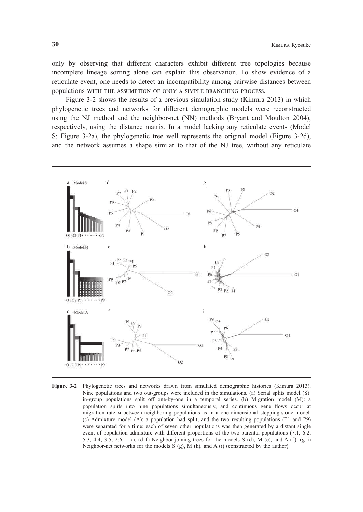only by observing that different characters exhibit different tree topologies because incomplete lineage sorting alone can explain this observation. To show evidence of a reticulate event, one needs to detect an incompatibility among pairwise distances between populations WiTH THE aSSumPTiON OF ONLY a SimPLE BraNCHiNG PrOCESS.

Figure 3-2 shows the results of a previous simulation study (Kimura 2013) in which phylogenetic trees and networks for different demographic models were reconstructed using the NJ method and the neighbor-net (NN) methods (Bryant and Moulton 2004), respectively, using the distance matrix. In a model lacking any reticulate events (Model S; Figure 3-2a), the phylogenetic tree well represents the original model (Figure 3-2d), and the network assumes a shape similar to that of the NJ tree, without any reticulate



**Figure 3-2** Phylogenetic trees and networks drawn from simulated demographic histories (Kimura 2013). Nine populations and two out-groups were included in the simulations. (a) Serial splits model (S): in-group populations split off one-by-one in a temporal series. (b) Migration model (M): a population splits into nine populations simultaneously, and continuous gene flows occur at migration rate m between neighboring populations as in a one-dimensional stepping-stone model. (c) Admixture model (A): a population had split, and the two resulting populations (P1 and P9) were separated for a time; each of seven other populations was then generated by a distant single event of population admixture with different proportions of the two parental populations (7:1, 6:2, 5:3, 4:4, 3:5, 2:6, 1:7). (d–f) Neighbor-joining trees for the models S (d), M (e), and A (f). (g–i) Neighbor-net networks for the models  $S$  (g),  $M$  (h), and  $A$  (i) (constructed by the author)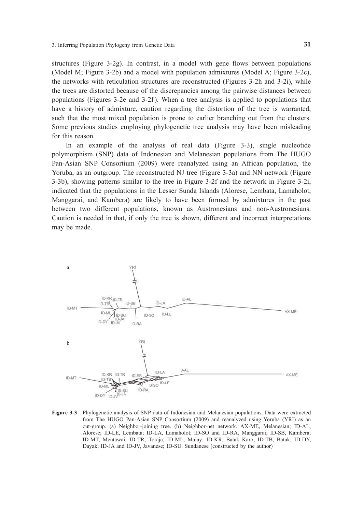structures (Figure 3-2g). In contrast, in a model with gene flows between populations (Model M; Figure 3-2b) and a model with population admixtures (Model A; Figure 3-2c), the networks with reticulation structures are reconstructed (Figures 3-2h and 3-2i), while the trees are distorted because of the discrepancies among the pairwise distances between populations (Figures 3-2e and 3-2f ). When a tree analysis is applied to populations that have a history of admixture, caution regarding the distortion of the tree is warranted, such that the most mixed population is prone to earlier branching out from the clusters. Some previous studies employing phylogenetic tree analysis may have been misleading for this reason.

In an example of the analysis of real data (Figure 3-3), single nucleotide polymorphism (SNP) data of Indonesian and Melanesian populations from The HUGO Pan-Asian SNP Consortium (2009) were reanalyzed using an African population, the Yoruba, as an outgroup. The reconstructed NJ tree (Figure 3-3a) and NN network (Figure 3-3b), showing patterns similar to the tree in Figure 3-2f and the network in Figure 3-2i, indicated that the populations in the Lesser Sunda Islands (Alorese, Lembata, Lamaholot, Manggarai, and Kambera) are likely to have been formed by admixtures in the past between two different populations, known as Austronesians and non-Austronesians. Caution is needed in that, if only the tree is shown, different and incorrect interpretations may be made.



**Figure 3-3** Phylogenetic analysis of SNP data of Indonesian and Melanesian populations. Data were extracted from The HUGO Pan-Asian SNP Consortium (2009) and reanalyzed using Yoruba (YRI) as an out-group. (a) Neighbor-joining tree. (b) Neighbor-net network. AX-ME, Melanesian; ID-AL, Alorese; ID-LE, Lembata; ID-LA, Lamaholot; ID-SO and ID-RA, Manggarai; ID-SB, Kambera; ID-MT, Mentawai; ID-TR, Toraja; ID-ML, Malay; ID-KR, Batak Karo; ID-TB, Batak; ID-DY, Dayak; ID-JA and ID-JV, Javanese; ID-SU, Sundanese (constructed by the author)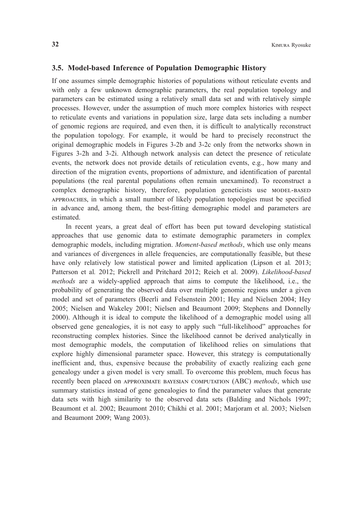#### **3.5. Model-based Inference of Population Demographic History**

If one assumes simple demographic histories of populations without reticulate events and with only a few unknown demographic parameters, the real population topology and parameters can be estimated using a relatively small data set and with relatively simple processes. However, under the assumption of much more complex histories with respect to reticulate events and variations in population size, large data sets including a number of genomic regions are required, and even then, it is difficult to analytically reconstruct the population topology. For example, it would be hard to precisely reconstruct the original demographic models in Figures 3-2b and 3-2c only from the networks shown in Figures 3-2h and 3-2i. Although network analysis can detect the presence of reticulate events, the network does not provide details of reticulation events, e.g., how many and direction of the migration events, proportions of admixture, and identification of parental populations (the real parental populations often remain unexamined). To reconstruct a complex demographic history, therefore, population geneticists use mODEL-BaSED aPPrOaCHES, in which a small number of likely population topologies must be specified in advance and, among them, the best-fitting demographic model and parameters are estimated.

In recent years, a great deal of effort has been put toward developing statistical approaches that use genomic data to estimate demographic parameters in complex demographic models, including migration. *Moment-based methods*, which use only means and variances of divergences in allele frequencies, are computationally feasible, but these have only relatively low statistical power and limited application (Lipson et al*.* 2013; Patterson et al*.* 2012; Pickrell and Pritchard 2012; Reich et al. 2009). *Likelihood-based methods* are a widely-applied approach that aims to compute the likelihood, i.e., the probability of generating the observed data over multiple genomic regions under a given model and set of parameters (Beerli and Felsenstein 2001; Hey and Nielsen 2004; Hey 2005; Nielsen and Wakeley 2001; Nielsen and Beaumont 2009; Stephens and Donnelly 2000). Although it is ideal to compute the likelihood of a demographic model using all observed gene genealogies, it is not easy to apply such "full-likelihood" approaches for reconstructing complex histories. Since the likelihood cannot be derived analytically in most demographic models, the computation of likelihood relies on simulations that explore highly dimensional parameter space. However, this strategy is computationally inefficient and, thus, expensive because the probability of exactly realizing each gene genealogy under a given model is very small. To overcome this problem, much focus has recently been placed on aPPrOXimaTE BaYESiaN COmPuTaTiON (ABC) *methods*, which use summary statistics instead of gene genealogies to find the parameter values that generate data sets with high similarity to the observed data sets (Balding and Nichols 1997; Beaumont et al. 2002; Beaumont 2010; Chikhi et al. 2001; Marjoram et al. 2003; Nielsen and Beaumont 2009; Wang 2003).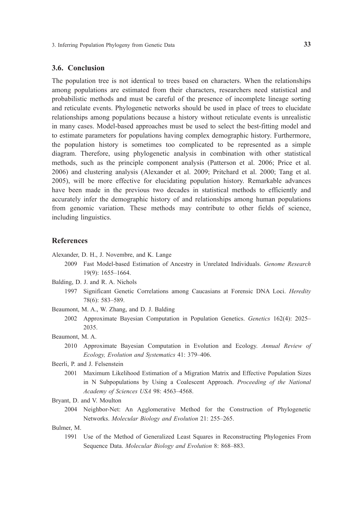#### **3.6. Conclusion**

The population tree is not identical to trees based on characters. When the relationships among populations are estimated from their characters, researchers need statistical and probabilistic methods and must be careful of the presence of incomplete lineage sorting and reticulate events. Phylogenetic networks should be used in place of trees to elucidate relationships among populations because a history without reticulate events is unrealistic in many cases. Model-based approaches must be used to select the best-fitting model and to estimate parameters for populations having complex demographic history. Furthermore, the population history is sometimes too complicated to be represented as a simple diagram. Therefore, using phylogenetic analysis in combination with other statistical methods, such as the principle component analysis (Patterson et al. 2006; Price et al. 2006) and clustering analysis (Alexander et al. 2009; Pritchard et al. 2000; Tang et al. 2005), will be more effective for elucidating population history. Remarkable advances have been made in the previous two decades in statistical methods to efficiently and accurately infer the demographic history of and relationships among human populations from genomic variation. These methods may contribute to other fields of science, including linguistics.

#### **References**

Alexander, D. H., J. Novembre, and K. Lange

- 2009 Fast Model-based Estimation of Ancestry in Unrelated Individuals. *Genome Research* 19(9): 1655–1664.
- Balding, D. J. and R. A. Nichols
	- 1997 Significant Genetic Correlations among Caucasians at Forensic DNA Loci. *Heredity* 78(6): 583–589.

Beaumont, M. A., W. Zhang, and D. J. Balding

 2002 Approximate Bayesian Computation in Population Genetics. *Genetics* 162(4): 2025– 2035.

Beaumont, M. A.

 2010 Approximate Bayesian Computation in Evolution and Ecology. *Annual Review of Ecology, Evolution and Systematics* 41: 379–406.

Beerli, P. and J. Felsenstein

 2001 Maximum Likelihood Estimation of a Migration Matrix and Effective Population Sizes in N Subpopulations by Using a Coalescent Approach. *Proceeding of the National Academy of Sciences USA* 98: 4563–4568.

Bryant, D. and V. Moulton

 2004 Neighbor-Net: An Agglomerative Method for the Construction of Phylogenetic Networks. *Molecular Biology and Evolution* 21: 255–265.

Bulmer, M.

 1991 Use of the Method of Generalized Least Squares in Reconstructing Phylogenies From Sequence Data. *Molecular Biology and Evolution* 8: 868–883.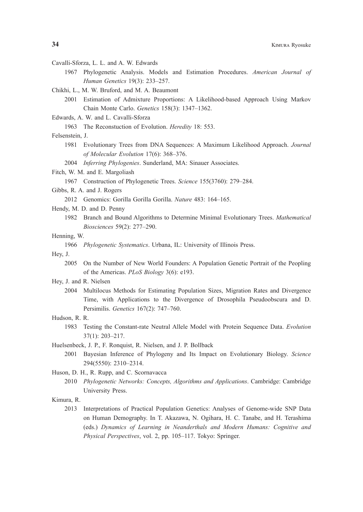- Cavalli-Sforza, L. L. and A. W. Edwards
	- 1967 Phylogenetic Analysis. Models and Estimation Procedures. *American Journal of Human Genetics* 19(3): 233–257.
- Chikhi, L., M. W. Bruford, and M. A. Beaumont
	- 2001 Estimation of Admixture Proportions: A Likelihood-based Approach Using Markov Chain Monte Carlo. *Genetics* 158(3): 1347–1362.
- Edwards, A. W. and L. Cavalli-Sforza
	- 1963 The Reconstuction of Evolution. *Heredity* 18: 553.

#### Felsenstein, J.

- 1981 Evolutionary Trees from DNA Sequences: A Maximum Likelihood Approach. *Journal of Molecular Evolution* 17(6): 368–376.
- 2004 *Inferring Phylogenies*. Sunderland, MA: Sinauer Associates.
- Fitch, W. M. and E. Margoliash
	- 1967 Construction of Phylogenetic Trees. *Science* 155(3760): 279–284.
- Gibbs, R. A. and J. Rogers
	- 2012 Genomics: Gorilla Gorilla Gorilla. *Nature* 483: 164–165.
- Hendy, M. D. and D. Penny
	- 1982 Branch and Bound Algorithms to Determine Minimal Evolutionary Trees. *Mathematical Biosciences* 59(2): 277–290.

#### Henning, W.

1966 *Phylogenetic Systematics*. Urbana, IL: University of Illinois Press.

Hey, J.

- 2005 On the Number of New World Founders: A Population Genetic Portrait of the Peopling of the Americas. *PLoS Biology* 3(6): e193.
- Hey, J. and R. Nielsen
	- 2004 Multilocus Methods for Estimating Population Sizes, Migration Rates and Divergence Time, with Applications to the Divergence of Drosophila Pseudoobscura and D. Persimilis. *Genetics* 167(2): 747–760.
- Hudson, R. R.
	- 1983 Testing the Constant-rate Neutral Allele Model with Protein Sequence Data. *Evolution* 37(1): 203–217.
- Huelsenbeck, J. P., F. Ronquist, R. Nielsen, and J. P. Bollback
	- 2001 Bayesian Inference of Phylogeny and Its Impact on Evolutionary Biology. *Science* 294(5550): 2310–2314.

Huson, D. H., R. Rupp, and C. Scornavacca

 2010 *Phylogenetic Networks: Concepts, Algorithms and Applications*. Cambridge: Cambridge University Press.

#### Kimura, R.

 2013 Interpretations of Practical Population Genetics: Analyses of Genome-wide SNP Data on Human Demography. In T. Akazawa, N. Ogihara, H. C. Tanabe, and H. Terashima (eds.) *Dynamics of Learning in Neanderthals and Modern Humans: Cognitive and Physical Perspectives*, vol. 2, pp. 105–117. Tokyo: Springer.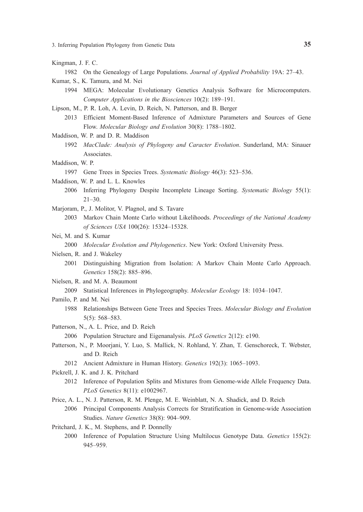3. Inferring Population Phylogeny from Genetic Data **35**

- Kingman, J. F. C.
	- 1982 On the Genealogy of Large Populations. *Journal of Applied Probability* 19A: 27–43.
- Kumar, S., K. Tamura, and M. Nei
	- 1994 MEGA: Molecular Evolutionary Genetics Analysis Software for Microcomputers. *Computer Applications in the Biosciences* 10(2): 189–191.
- Lipson, M., P. R. Loh, A. Levin, D. Reich, N. Patterson, and B. Berger
	- 2013 Efficient Moment-Based Inference of Admixture Parameters and Sources of Gene Flow. *Molecular Biology and Evolution* 30(8): 1788–1802.
- Maddison, W. P. and D. R. Maddison
	- 1992 *MacClade: Analysis of Phylogeny and Caracter Evolution*. Sunderland, MA: Sinauer Associates.
- Maddison, W. P.
	- 1997 Gene Trees in Species Trees. *Systematic Biology* 46(3): 523–536.
- Maddison, W. P. and L. L. Knowles
	- 2006 Inferring Phylogeny Despite Incomplete Lineage Sorting. *Systematic Biology* 55(1): 21–30.
- Marjoram, P., J. Molitor, V. Plagnol, and S. Tavare
	- 2003 Markov Chain Monte Carlo without Likelihoods. *Proceedings of the National Academy of Sciences USA* 100(26): 15324–15328.
- Nei, M. and S. Kumar

2000 *Molecular Evolution and Phylogenetics*. New York: Oxford University Press.

- Nielsen, R. and J. Wakeley
	- 2001 Distinguishing Migration from Isolation: A Markov Chain Monte Carlo Approach. *Genetics* 158(2): 885–896.
- Nielsen, R. and M. A. Beaumont
	- 2009 Statistical Inferences in Phylogeography. *Molecular Ecology* 18: 1034–1047.
- Pamilo, P. and M. Nei
	- 1988 Relationships Between Gene Trees and Species Trees. *Molecular Biology and Evolution*  5(5): 568–583.
- Patterson, N., A. L. Price, and D. Reich
	- 2006 Population Structure and Eigenanalysis. *PLoS Genetics* 2(12): e190.
- Patterson, N., P. Moorjani, Y. Luo, S. Mallick, N. Rohland, Y. Zhan, T. Genschoreck, T. Webster, and D. Reich
	- 2012 Ancient Admixture in Human History. *Genetics* 192(3): 1065–1093.
- Pickrell, J. K. and J. K. Pritchard
- 2012 Inference of Population Splits and Mixtures from Genome-wide Allele Frequency Data. *PLoS Genetics* 8(11): e1002967.
- Price, A. L., N. J. Patterson, R. M. Plenge, M. E. Weinblatt, N. A. Shadick, and D. Reich
	- 2006 Principal Components Analysis Corrects for Stratification in Genome-wide Association Studies. *Nature Genetics* 38(8): 904–909.
- Pritchard, J. K., M. Stephens, and P. Donnelly
	- 2000 Inference of Population Structure Using Multilocus Genotype Data. *Genetics* 155(2): 945–959.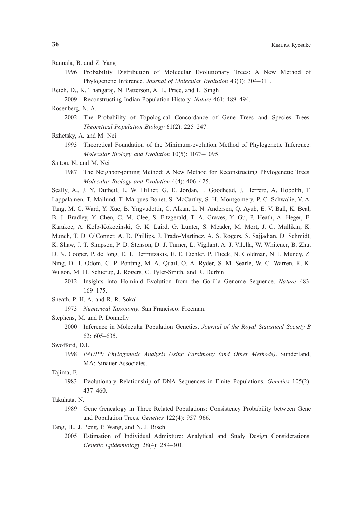- Rannala, B. and Z. Yang
	- 1996 Probability Distribution of Molecular Evolutionary Trees: A New Method of Phylogenetic Inference. *Journal of Molecular Evolution* 43(3): 304–311.
- Reich, D., K. Thangaraj, N. Patterson, A. L. Price, and L. Singh
	- 2009 Reconstructing Indian Population History. *Nature* 461: 489–494.

Rosenberg, N. A.

- 2002 The Probability of Topological Concordance of Gene Trees and Species Trees. *Theoretical Population Biology* 61(2): 225–247.
- Rzhetsky, A. and M. Nei
	- 1993 Theoretical Foundation of the Minimum-evolution Method of Phylogenetic Inference. *Molecular Biology and Evolution* 10(5): 1073–1095.
- Saitou, N. and M. Nei
	- 1987 The Neighbor-joining Method: A New Method for Reconstructing Phylogenetic Trees. *Molecular Biology and Evolution* 4(4): 406–425.

Scally, A., J. Y. Dutheil, L. W. Hillier, G. E. Jordan, I. Goodhead, J. Herrero, A. Hobolth, T. Lappalainen, T. Mailund, T. Marques-Bonet, S. McCarthy, S. H. Montgomery, P. C. Schwalie, Y. A. Tang, M. C. Ward, Y. Xue, B. Yngvadottir, C. Alkan, L. N. Andersen, Q. Ayub, E. V. Ball, K. Beal, B. J. Bradley, Y. Chen, C. M. Clee, S. Fitzgerald, T. A. Graves, Y. Gu, P. Heath, A. Heger, E. Karakoc, A. Kolb-Kokocinski, G. K. Laird, G. Lunter, S. Meader, M. Mort, J. C. Mullikin, K. Munch, T. D. O'Conner, A. D. Phillips, J. Prado-Martinez, A. S. Rogers, S. Sajjadian, D. Schmidt, K. Shaw, J. T. Simpson, P. D. Stenson, D. J. Turner, L. Vigilant, A. J. Vilella, W. Whitener, B. Zhu, D. N. Cooper, P. de Jong, E. T. Dermitzakis, E. E. Eichler, P. Flicek, N. Goldman, N. I. Mundy, Z. Ning, D. T. Odom, C. P. Ponting, M. A. Quail, O. A. Ryder, S. M. Searle, W. C. Warren, R. K. Wilson, M. H. Schierup, J. Rogers, C. Tyler-Smith, and R. Durbin

- 2012 Insights into Hominid Evolution from the Gorilla Genome Sequence. *Nature* 483: 169–175.
- Sneath, P. H. A. and R. R. Sokal
	- 1973 *Numerical Taxonomy*. San Francisco: Freeman.
- Stephens, M. and P. Donnelly
	- 2000 Inference in Molecular Population Genetics. *Journal of the Royal Statistical Society B* 62: 605–635.

#### Swofford, D.L.

 1998 *PAUP\*: Phylogenetic Analysis Using Parsimony (and Other Methods)*. Sunderland, MA: Sinauer Associates.

#### Tajima, F.

 1983 Evolutionary Relationship of DNA Sequences in Finite Populations. *Genetics* 105(2): 437–460.

#### Takahata, N.

- 1989 Gene Genealogy in Three Related Populations: Consistency Probability between Gene and Population Trees. *Genetics* 122(4): 957–966.
- Tang, H., J. Peng, P. Wang, and N. J. Risch
	- 2005 Estimation of Individual Admixture: Analytical and Study Design Considerations. *Genetic Epidemiology* 28(4): 289–301.